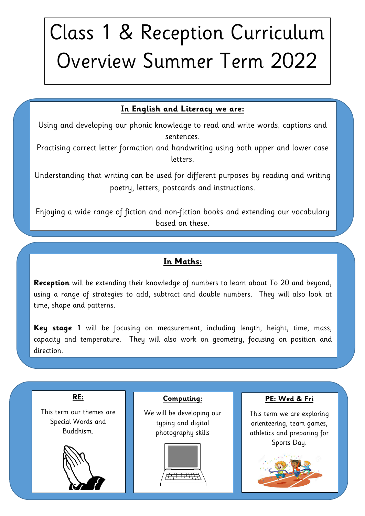# Class 1 & Reception Curriculum Overview Summer Term 2022

## In English and Literacy we are:<br>
Which are developing our phonic haquilades to read and write words, continue **In English and Literacy we are:**

Using and developing our phonic knowledge to read and write words, captions and sentences.

term in term in term in term in term in term in term in term in term in term in term in term in term in term i<br>Practising correct letter formation and handwriting using both upper and lower case letters.

Understanding that writing can be used for different purposes by reading and writing poetry, letters, postcards and instructions.

Enjoying a wide range of fiction and non-fiction books and extending our vocabulary based on these.

## **In Maths:**

**Reception** will be extending their knowledge of numbers to learn about To 20 and beyond, using a range of strategies to add, subtract and double numbers. They will also look at time, shape and patterns.

**Key stage 1** will be focusing on measurement, including length, height, time, mass, capacity and temperature. They will also work on geometry, focusing on position and direction.